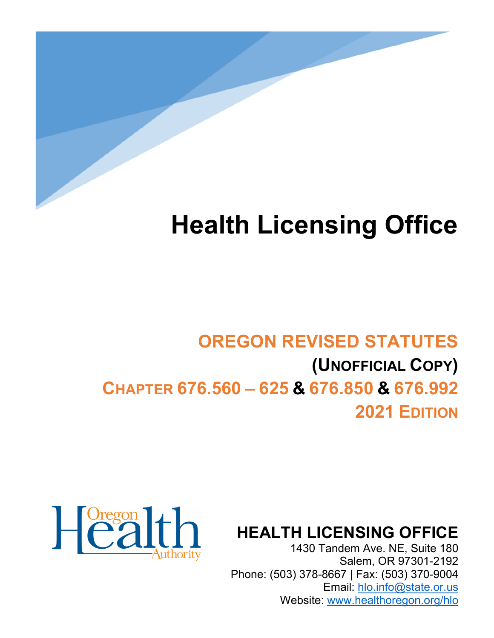

# **Health Licensing Office**

# **OREGON REVISED STATUTES (UNOFFICIAL COPY) CHAPTER 676.560 – 625 & 676.850 & 676.992 2021 EDITION**



**HEALTH LICENSING OFFICE**

1430 Tandem Ave. NE, Suite 180 Salem, OR 97301-2192 Phone: (503) 378-8667 | Fax: (503) 370-9004 Email: [hlo.info@state.or.us](mailto:hlo.info@stae.or.us) Website: [www.healthoregon.org/hlo](http://www.healthoregon.org/hlo)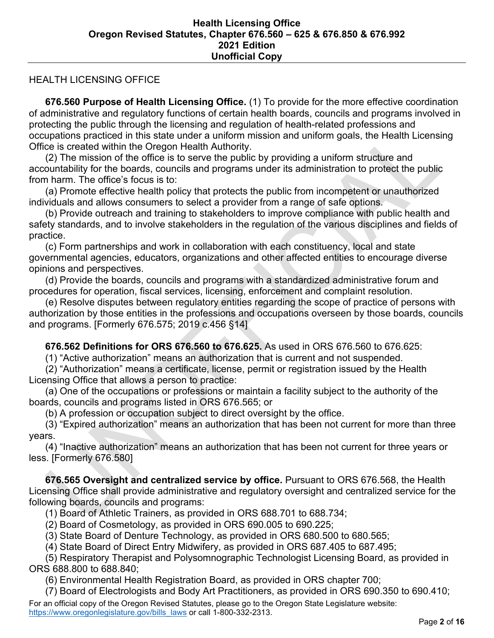# HEALTH LICENSING OFFICE

**676.560 Purpose of Health Licensing Office.** (1) To provide for the more effective coordination of administrative and regulatory functions of certain health boards, councils and programs involved in protecting the public through the licensing and regulation of health-related professions and occupations practiced in this state under a uniform mission and uniform goals, the Health Licensing Office is created within the Oregon Health Authority.

 (2) The mission of the office is to serve the public by providing a uniform structure and accountability for the boards, councils and programs under its administration to protect the public from harm. The office's focus is to:

 (a) Promote effective health policy that protects the public from incompetent or unauthorized individuals and allows consumers to select a provider from a range of safe options.

 (b) Provide outreach and training to stakeholders to improve compliance with public health and safety standards, and to involve stakeholders in the regulation of the various disciplines and fields of practice.

 (c) Form partnerships and work in collaboration with each constituency, local and state governmental agencies, educators, organizations and other affected entities to encourage diverse opinions and perspectives.

 (d) Provide the boards, councils and programs with a standardized administrative forum and procedures for operation, fiscal services, licensing, enforcement and complaint resolution.

 (e) Resolve disputes between regulatory entities regarding the scope of practice of persons with authorization by those entities in the professions and occupations overseen by those boards, councils and programs. [Formerly 676.575; 2019 c.456 §14]

 **676.562 Definitions for ORS 676.560 to 676.625.** As used in ORS 676.560 to 676.625:

(1) "Active authorization" means an authorization that is current and not suspended.

 (2) "Authorization" means a certificate, license, permit or registration issued by the Health Licensing Office that allows a person to practice:

 (a) One of the occupations or professions or maintain a facility subject to the authority of the boards, councils and programs listed in ORS 676.565; or

(b) A profession or occupation subject to direct oversight by the office.

 (3) "Expired authorization" means an authorization that has been not current for more than three years.

 (4) "Inactive authorization" means an authorization that has been not current for three years or less. [Formerly 676.580]

 **676.565 Oversight and centralized service by office.** Pursuant to ORS 676.568, the Health Licensing Office shall provide administrative and regulatory oversight and centralized service for the following boards, councils and programs:

(1) Board of Athletic Trainers, as provided in ORS 688.701 to 688.734;

- (2) Board of Cosmetology, as provided in ORS 690.005 to 690.225;
- (3) State Board of Denture Technology, as provided in ORS 680.500 to 680.565;

(4) State Board of Direct Entry Midwifery, as provided in ORS 687.405 to 687.495;

 (5) Respiratory Therapist and Polysomnographic Technologist Licensing Board, as provided in ORS 688.800 to 688.840;

(6) Environmental Health Registration Board, as provided in ORS chapter 700;

(7) Board of Electrologists and Body Art Practitioners, as provided in ORS 690.350 to 690.410;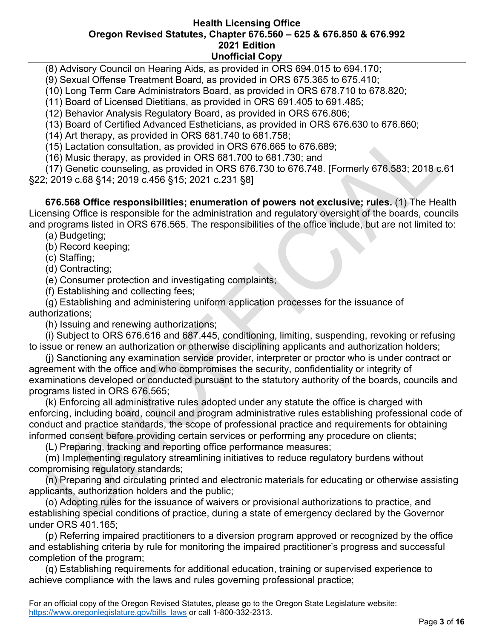(8) Advisory Council on Hearing Aids, as provided in ORS 694.015 to 694.170;

(9) Sexual Offense Treatment Board, as provided in ORS 675.365 to 675.410;

(10) Long Term Care Administrators Board, as provided in ORS 678.710 to 678.820;

(11) Board of Licensed Dietitians, as provided in ORS 691.405 to 691.485;

(12) Behavior Analysis Regulatory Board, as provided in ORS 676.806;

(13) Board of Certified Advanced Estheticians, as provided in ORS 676.630 to 676.660;

(14) Art therapy, as provided in ORS 681.740 to 681.758;

(15) Lactation consultation, as provided in ORS 676.665 to 676.689;

(16) Music therapy, as provided in ORS 681.700 to 681.730; and

 (17) Genetic counseling, as provided in ORS 676.730 to 676.748. [Formerly 676.583; 2018 c.61 §22; 2019 c.68 §14; 2019 c.456 §15; 2021 c.231 §8]

 **676.568 Office responsibilities; enumeration of powers not exclusive; rules.** (1) The Health Licensing Office is responsible for the administration and regulatory oversight of the boards, councils and programs listed in ORS 676.565. The responsibilities of the office include, but are not limited to:

(a) Budgeting;

(b) Record keeping;

(c) Staffing;

(d) Contracting;

(e) Consumer protection and investigating complaints;

(f) Establishing and collecting fees;

 (g) Establishing and administering uniform application processes for the issuance of authorizations;

(h) Issuing and renewing authorizations;

 (i) Subject to ORS 676.616 and 687.445, conditioning, limiting, suspending, revoking or refusing to issue or renew an authorization or otherwise disciplining applicants and authorization holders;

 (j) Sanctioning any examination service provider, interpreter or proctor who is under contract or agreement with the office and who compromises the security, confidentiality or integrity of examinations developed or conducted pursuant to the statutory authority of the boards, councils and programs listed in ORS 676.565;

 (k) Enforcing all administrative rules adopted under any statute the office is charged with enforcing, including board, council and program administrative rules establishing professional code of conduct and practice standards, the scope of professional practice and requirements for obtaining informed consent before providing certain services or performing any procedure on clients;

(L) Preparing, tracking and reporting office performance measures;

 (m) Implementing regulatory streamlining initiatives to reduce regulatory burdens without compromising regulatory standards;

 (n) Preparing and circulating printed and electronic materials for educating or otherwise assisting applicants, authorization holders and the public;

 (o) Adopting rules for the issuance of waivers or provisional authorizations to practice, and establishing special conditions of practice, during a state of emergency declared by the Governor under ORS 401.165;

 (p) Referring impaired practitioners to a diversion program approved or recognized by the office and establishing criteria by rule for monitoring the impaired practitioner's progress and successful completion of the program;

 (q) Establishing requirements for additional education, training or supervised experience to achieve compliance with the laws and rules governing professional practice;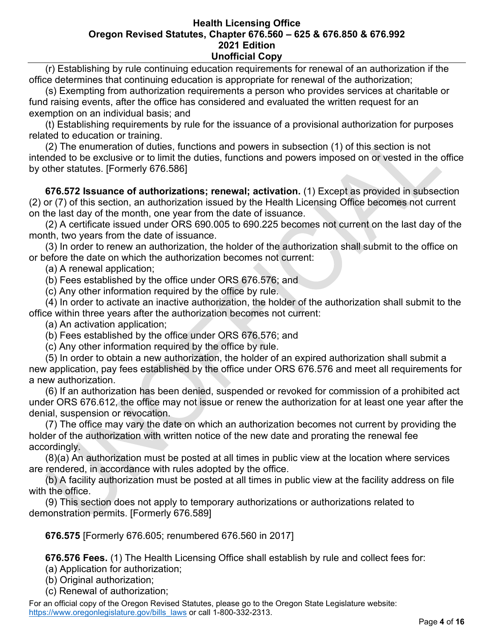(r) Establishing by rule continuing education requirements for renewal of an authorization if the office determines that continuing education is appropriate for renewal of the authorization;

 (s) Exempting from authorization requirements a person who provides services at charitable or fund raising events, after the office has considered and evaluated the written request for an exemption on an individual basis; and

 (t) Establishing requirements by rule for the issuance of a provisional authorization for purposes related to education or training.

 (2) The enumeration of duties, functions and powers in subsection (1) of this section is not intended to be exclusive or to limit the duties, functions and powers imposed on or vested in the office by other statutes. [Formerly 676.586]

 **676.572 Issuance of authorizations; renewal; activation.** (1) Except as provided in subsection (2) or (7) of this section, an authorization issued by the Health Licensing Office becomes not current on the last day of the month, one year from the date of issuance.

 (2) A certificate issued under ORS 690.005 to 690.225 becomes not current on the last day of the month, two years from the date of issuance.

 (3) In order to renew an authorization, the holder of the authorization shall submit to the office on or before the date on which the authorization becomes not current:

(a) A renewal application;

(b) Fees established by the office under ORS 676.576; and

(c) Any other information required by the office by rule.

 (4) In order to activate an inactive authorization, the holder of the authorization shall submit to the office within three years after the authorization becomes not current:

(a) An activation application;

(b) Fees established by the office under ORS 676.576; and

(c) Any other information required by the office by rule.

 (5) In order to obtain a new authorization, the holder of an expired authorization shall submit a new application, pay fees established by the office under ORS 676.576 and meet all requirements for a new authorization.

 (6) If an authorization has been denied, suspended or revoked for commission of a prohibited act under ORS 676.612, the office may not issue or renew the authorization for at least one year after the denial, suspension or revocation.

 (7) The office may vary the date on which an authorization becomes not current by providing the holder of the authorization with written notice of the new date and prorating the renewal fee accordingly.

 (8)(a) An authorization must be posted at all times in public view at the location where services are rendered, in accordance with rules adopted by the office.

 (b) A facility authorization must be posted at all times in public view at the facility address on file with the office.

 (9) This section does not apply to temporary authorizations or authorizations related to demonstration permits. [Formerly 676.589]

 **676.575** [Formerly 676.605; renumbered 676.560 in 2017]

 **676.576 Fees.** (1) The Health Licensing Office shall establish by rule and collect fees for:

(a) Application for authorization;

(b) Original authorization;

(c) Renewal of authorization;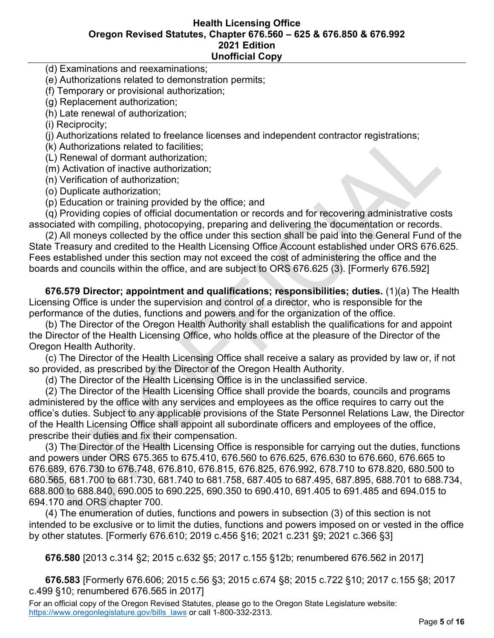(d) Examinations and reexaminations;

(e) Authorizations related to demonstration permits;

(f) Temporary or provisional authorization;

(g) Replacement authorization;

(h) Late renewal of authorization;

(i) Reciprocity;

(j) Authorizations related to freelance licenses and independent contractor registrations;

(k) Authorizations related to facilities;

(L) Renewal of dormant authorization;

(m) Activation of inactive authorization;

(n) Verification of authorization;

(o) Duplicate authorization;

(p) Education or training provided by the office; and

 (q) Providing copies of official documentation or records and for recovering administrative costs associated with compiling, photocopying, preparing and delivering the documentation or records.

 (2) All moneys collected by the office under this section shall be paid into the General Fund of the State Treasury and credited to the Health Licensing Office Account established under ORS 676.625. Fees established under this section may not exceed the cost of administering the office and the boards and councils within the office, and are subject to ORS 676.625 (3). [Formerly 676.592]

 **676.579 Director; appointment and qualifications; responsibilities; duties.** (1)(a) The Health Licensing Office is under the supervision and control of a director, who is responsible for the performance of the duties, functions and powers and for the organization of the office.

 (b) The Director of the Oregon Health Authority shall establish the qualifications for and appoint the Director of the Health Licensing Office, who holds office at the pleasure of the Director of the Oregon Health Authority.

 (c) The Director of the Health Licensing Office shall receive a salary as provided by law or, if not so provided, as prescribed by the Director of the Oregon Health Authority.

(d) The Director of the Health Licensing Office is in the unclassified service.

 (2) The Director of the Health Licensing Office shall provide the boards, councils and programs administered by the office with any services and employees as the office requires to carry out the office's duties. Subject to any applicable provisions of the State Personnel Relations Law, the Director of the Health Licensing Office shall appoint all subordinate officers and employees of the office, prescribe their duties and fix their compensation.

 (3) The Director of the Health Licensing Office is responsible for carrying out the duties, functions and powers under ORS 675.365 to 675.410, 676.560 to 676.625, 676.630 to 676.660, 676.665 to 676.689, 676.730 to 676.748, 676.810, 676.815, 676.825, 676.992, 678.710 to 678.820, 680.500 to 680.565, 681.700 to 681.730, 681.740 to 681.758, 687.405 to 687.495, 687.895, 688.701 to 688.734, 688.800 to 688.840, 690.005 to 690.225, 690.350 to 690.410, 691.405 to 691.485 and 694.015 to 694.170 and ORS chapter 700.

 (4) The enumeration of duties, functions and powers in subsection (3) of this section is not intended to be exclusive or to limit the duties, functions and powers imposed on or vested in the office by other statutes. [Formerly 676.610; 2019 c.456 §16; 2021 c.231 §9; 2021 c.366 §3]

 **676.580** [2013 c.314 §2; 2015 c.632 §5; 2017 c.155 §12b; renumbered 676.562 in 2017]

 **676.583** [Formerly 676.606; 2015 c.56 §3; 2015 c.674 §8; 2015 c.722 §10; 2017 c.155 §8; 2017 c.499 §10; renumbered 676.565 in 2017]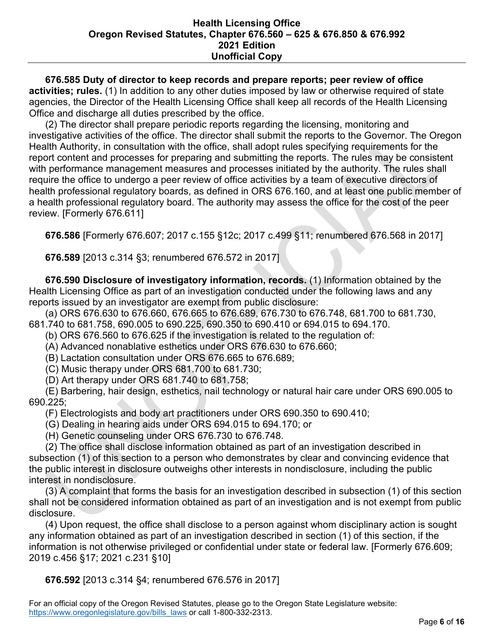**676.585 Duty of director to keep records and prepare reports; peer review of office activities; rules.** (1) In addition to any other duties imposed by law or otherwise required of state agencies, the Director of the Health Licensing Office shall keep all records of the Health Licensing Office and discharge all duties prescribed by the office.

 (2) The director shall prepare periodic reports regarding the licensing, monitoring and investigative activities of the office. The director shall submit the reports to the Governor. The Oregon Health Authority, in consultation with the office, shall adopt rules specifying requirements for the report content and processes for preparing and submitting the reports. The rules may be consistent with performance management measures and processes initiated by the authority. The rules shall require the office to undergo a peer review of office activities by a team of executive directors of health professional regulatory boards, as defined in ORS 676.160, and at least one public member of a health professional regulatory board. The authority may assess the office for the cost of the peer review. [Formerly 676.611]

 **676.586** [Formerly 676.607; 2017 c.155 §12c; 2017 c.499 §11; renumbered 676.568 in 2017]

 **676.589** [2013 c.314 §3; renumbered 676.572 in 2017]

 **676.590 Disclosure of investigatory information, records.** (1) Information obtained by the Health Licensing Office as part of an investigation conducted under the following laws and any reports issued by an investigator are exempt from public disclosure:

 (a) ORS 676.630 to 676.660, 676.665 to 676.689, 676.730 to 676.748, 681.700 to 681.730, 681.740 to 681.758, 690.005 to 690.225, 690.350 to 690.410 or 694.015 to 694.170.

(b) ORS 676.560 to 676.625 if the investigation is related to the regulation of:

(A) Advanced nonablative esthetics under ORS 676.630 to 676.660;

(B) Lactation consultation under ORS 676.665 to 676.689;

(C) Music therapy under ORS 681.700 to 681.730;

(D) Art therapy under ORS 681.740 to 681.758;

 (E) Barbering, hair design, esthetics, nail technology or natural hair care under ORS 690.005 to 690.225;

(F) Electrologists and body art practitioners under ORS 690.350 to 690.410;

(G) Dealing in hearing aids under ORS 694.015 to 694.170; or

(H) Genetic counseling under ORS 676.730 to 676.748.

 (2) The office shall disclose information obtained as part of an investigation described in subsection (1) of this section to a person who demonstrates by clear and convincing evidence that the public interest in disclosure outweighs other interests in nondisclosure, including the public interest in nondisclosure.

 (3) A complaint that forms the basis for an investigation described in subsection (1) of this section shall not be considered information obtained as part of an investigation and is not exempt from public disclosure.

 (4) Upon request, the office shall disclose to a person against whom disciplinary action is sought any information obtained as part of an investigation described in section (1) of this section, if the information is not otherwise privileged or confidential under state or federal law. [Formerly 676.609; 2019 c.456 §17; 2021 c.231 §10]

 **676.592** [2013 c.314 §4; renumbered 676.576 in 2017]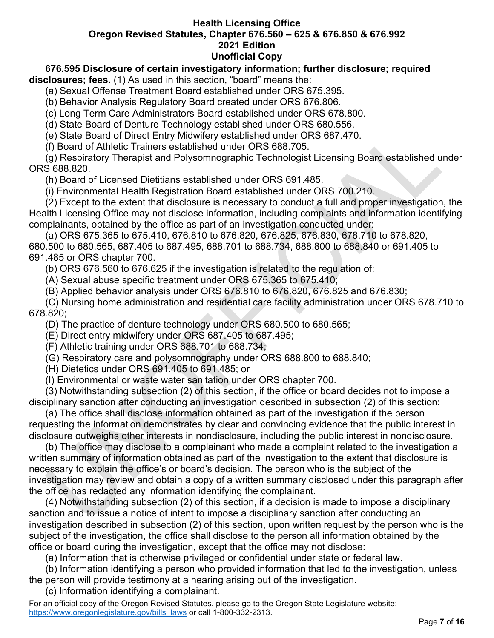#### **676.595 Disclosure of certain investigatory information; further disclosure; required**

**disclosures; fees.** (1) As used in this section, "board" means the:

(a) Sexual Offense Treatment Board established under ORS 675.395.

(b) Behavior Analysis Regulatory Board created under ORS 676.806.

(c) Long Term Care Administrators Board established under ORS 678.800.

(d) State Board of Denture Technology established under ORS 680.556.

(e) State Board of Direct Entry Midwifery established under ORS 687.470.

(f) Board of Athletic Trainers established under ORS 688.705.

 (g) Respiratory Therapist and Polysomnographic Technologist Licensing Board established under ORS 688.820.

(h) Board of Licensed Dietitians established under ORS 691.485.

(i) Environmental Health Registration Board established under ORS 700.210.

 (2) Except to the extent that disclosure is necessary to conduct a full and proper investigation, the Health Licensing Office may not disclose information, including complaints and information identifying complainants, obtained by the office as part of an investigation conducted under:

 (a) ORS 675.365 to 675.410, 676.810 to 676.820, 676.825, 676.830, 678.710 to 678.820, 680.500 to 680.565, 687.405 to 687.495, 688.701 to 688.734, 688.800 to 688.840 or 691.405 to 691.485 or ORS chapter 700.

(b) ORS 676.560 to 676.625 if the investigation is related to the regulation of:

(A) Sexual abuse specific treatment under ORS 675.365 to 675.410;

(B) Applied behavior analysis under ORS 676.810 to 676.820, 676.825 and 676.830;

 (C) Nursing home administration and residential care facility administration under ORS 678.710 to 678.820;

(D) The practice of denture technology under ORS 680.500 to 680.565;

(E) Direct entry midwifery under ORS 687.405 to 687.495;

(F) Athletic training under ORS 688.701 to 688.734;

(G) Respiratory care and polysomnography under ORS 688.800 to 688.840;

(H) Dietetics under ORS 691.405 to 691.485; or

(I) Environmental or waste water sanitation under ORS chapter 700.

 (3) Notwithstanding subsection (2) of this section, if the office or board decides not to impose a disciplinary sanction after conducting an investigation described in subsection (2) of this section:

 (a) The office shall disclose information obtained as part of the investigation if the person requesting the information demonstrates by clear and convincing evidence that the public interest in disclosure outweighs other interests in nondisclosure, including the public interest in nondisclosure.

 (b) The office may disclose to a complainant who made a complaint related to the investigation a written summary of information obtained as part of the investigation to the extent that disclosure is necessary to explain the office's or board's decision. The person who is the subject of the investigation may review and obtain a copy of a written summary disclosed under this paragraph after the office has redacted any information identifying the complainant.

 (4) Notwithstanding subsection (2) of this section, if a decision is made to impose a disciplinary sanction and to issue a notice of intent to impose a disciplinary sanction after conducting an investigation described in subsection (2) of this section, upon written request by the person who is the subject of the investigation, the office shall disclose to the person all information obtained by the office or board during the investigation, except that the office may not disclose:

(a) Information that is otherwise privileged or confidential under state or federal law.

 (b) Information identifying a person who provided information that led to the investigation, unless the person will provide testimony at a hearing arising out of the investigation.

(c) Information identifying a complainant.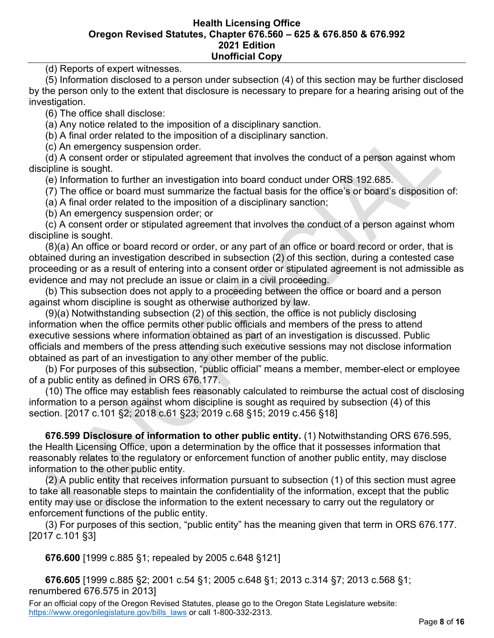(d) Reports of expert witnesses.

 (5) Information disclosed to a person under subsection (4) of this section may be further disclosed by the person only to the extent that disclosure is necessary to prepare for a hearing arising out of the investigation.

(6) The office shall disclose:

(a) Any notice related to the imposition of a disciplinary sanction.

(b) A final order related to the imposition of a disciplinary sanction.

(c) An emergency suspension order.

 (d) A consent order or stipulated agreement that involves the conduct of a person against whom discipline is sought.

(e) Information to further an investigation into board conduct under ORS 192.685.

(7) The office or board must summarize the factual basis for the office's or board's disposition of:

(a) A final order related to the imposition of a disciplinary sanction;

(b) An emergency suspension order; or

 (c) A consent order or stipulated agreement that involves the conduct of a person against whom discipline is sought.

 (8)(a) An office or board record or order, or any part of an office or board record or order, that is obtained during an investigation described in subsection (2) of this section, during a contested case proceeding or as a result of entering into a consent order or stipulated agreement is not admissible as evidence and may not preclude an issue or claim in a civil proceeding.

 (b) This subsection does not apply to a proceeding between the office or board and a person against whom discipline is sought as otherwise authorized by law.

 (9)(a) Notwithstanding subsection (2) of this section, the office is not publicly disclosing information when the office permits other public officials and members of the press to attend executive sessions where information obtained as part of an investigation is discussed. Public officials and members of the press attending such executive sessions may not disclose information obtained as part of an investigation to any other member of the public.

 (b) For purposes of this subsection, "public official" means a member, member-elect or employee of a public entity as defined in ORS 676.177.

 (10) The office may establish fees reasonably calculated to reimburse the actual cost of disclosing information to a person against whom discipline is sought as required by subsection (4) of this section. [2017 c.101 §2; 2018 c.61 §23; 2019 c.68 §15; 2019 c.456 §18]

 **676.599 Disclosure of information to other public entity.** (1) Notwithstanding ORS 676.595, the Health Licensing Office, upon a determination by the office that it possesses information that reasonably relates to the regulatory or enforcement function of another public entity, may disclose information to the other public entity.

 (2) A public entity that receives information pursuant to subsection (1) of this section must agree to take all reasonable steps to maintain the confidentiality of the information, except that the public entity may use or disclose the information to the extent necessary to carry out the regulatory or enforcement functions of the public entity.

 (3) For purposes of this section, "public entity" has the meaning given that term in ORS 676.177. [2017 c.101 §3]

 **676.600** [1999 c.885 §1; repealed by 2005 c.648 §121]

 **676.605** [1999 c.885 §2; 2001 c.54 §1; 2005 c.648 §1; 2013 c.314 §7; 2013 c.568 §1; renumbered 676.575 in 2013]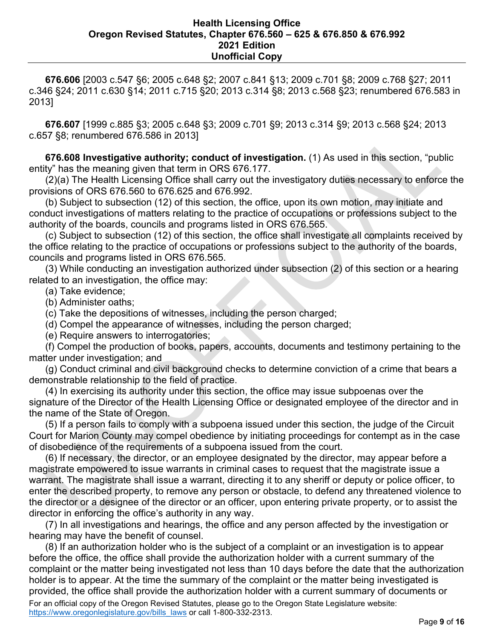**676.606** [2003 c.547 §6; 2005 c.648 §2; 2007 c.841 §13; 2009 c.701 §8; 2009 c.768 §27; 2011 c.346 §24; 2011 c.630 §14; 2011 c.715 §20; 2013 c.314 §8; 2013 c.568 §23; renumbered 676.583 in 2013]

 **676.607** [1999 c.885 §3; 2005 c.648 §3; 2009 c.701 §9; 2013 c.314 §9; 2013 c.568 §24; 2013 c.657 §8; renumbered 676.586 in 2013]

 **676.608 Investigative authority; conduct of investigation.** (1) As used in this section, "public entity" has the meaning given that term in ORS 676.177.

 (2)(a) The Health Licensing Office shall carry out the investigatory duties necessary to enforce the provisions of ORS 676.560 to 676.625 and 676.992.

 (b) Subject to subsection (12) of this section, the office, upon its own motion, may initiate and conduct investigations of matters relating to the practice of occupations or professions subject to the authority of the boards, councils and programs listed in ORS 676.565.

 (c) Subject to subsection (12) of this section, the office shall investigate all complaints received by the office relating to the practice of occupations or professions subject to the authority of the boards, councils and programs listed in ORS 676.565.

 (3) While conducting an investigation authorized under subsection (2) of this section or a hearing related to an investigation, the office may:

(a) Take evidence;

(b) Administer oaths;

(c) Take the depositions of witnesses, including the person charged;

(d) Compel the appearance of witnesses, including the person charged;

(e) Require answers to interrogatories;

 (f) Compel the production of books, papers, accounts, documents and testimony pertaining to the matter under investigation; and

 (g) Conduct criminal and civil background checks to determine conviction of a crime that bears a demonstrable relationship to the field of practice.

 (4) In exercising its authority under this section, the office may issue subpoenas over the signature of the Director of the Health Licensing Office or designated employee of the director and in the name of the State of Oregon.

 (5) If a person fails to comply with a subpoena issued under this section, the judge of the Circuit Court for Marion County may compel obedience by initiating proceedings for contempt as in the case of disobedience of the requirements of a subpoena issued from the court.

 (6) If necessary, the director, or an employee designated by the director, may appear before a magistrate empowered to issue warrants in criminal cases to request that the magistrate issue a warrant. The magistrate shall issue a warrant, directing it to any sheriff or deputy or police officer, to enter the described property, to remove any person or obstacle, to defend any threatened violence to the director or a designee of the director or an officer, upon entering private property, or to assist the director in enforcing the office's authority in any way.

 (7) In all investigations and hearings, the office and any person affected by the investigation or hearing may have the benefit of counsel.

For an official copy of the Oregon Revised Statutes, please go to the Oregon State Legislature website: [https://www.oregonlegislature.gov/bills\\_laws](https://www.oregonlegislature.gov/bills_laws) or call 1-800-332-2313. (8) If an authorization holder who is the subject of a complaint or an investigation is to appear before the office, the office shall provide the authorization holder with a current summary of the complaint or the matter being investigated not less than 10 days before the date that the authorization holder is to appear. At the time the summary of the complaint or the matter being investigated is provided, the office shall provide the authorization holder with a current summary of documents or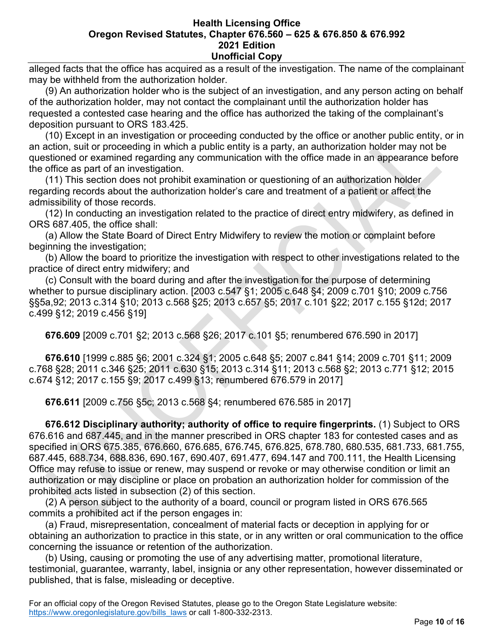alleged facts that the office has acquired as a result of the investigation. The name of the complainant may be withheld from the authorization holder.

 (9) An authorization holder who is the subject of an investigation, and any person acting on behalf of the authorization holder, may not contact the complainant until the authorization holder has requested a contested case hearing and the office has authorized the taking of the complainant's deposition pursuant to ORS 183.425.

 (10) Except in an investigation or proceeding conducted by the office or another public entity, or in an action, suit or proceeding in which a public entity is a party, an authorization holder may not be questioned or examined regarding any communication with the office made in an appearance before the office as part of an investigation.

 (11) This section does not prohibit examination or questioning of an authorization holder regarding records about the authorization holder's care and treatment of a patient or affect the admissibility of those records.

 (12) In conducting an investigation related to the practice of direct entry midwifery, as defined in ORS 687.405, the office shall:

 (a) Allow the State Board of Direct Entry Midwifery to review the motion or complaint before beginning the investigation;

 (b) Allow the board to prioritize the investigation with respect to other investigations related to the practice of direct entry midwifery; and

 (c) Consult with the board during and after the investigation for the purpose of determining whether to pursue disciplinary action. [2003 c.547 §1; 2005 c.648 §4; 2009 c.701 §10; 2009 c.756 §§5a,92; 2013 c.314 §10; 2013 c.568 §25; 2013 c.657 §5; 2017 c.101 §22; 2017 c.155 §12d; 2017 c.499 §12; 2019 c.456 §19]

 **676.609** [2009 c.701 §2; 2013 c.568 §26; 2017 c.101 §5; renumbered 676.590 in 2017]

 **676.610** [1999 c.885 §6; 2001 c.324 §1; 2005 c.648 §5; 2007 c.841 §14; 2009 c.701 §11; 2009 c.768 §28; 2011 c.346 §25; 2011 c.630 §15; 2013 c.314 §11; 2013 c.568 §2; 2013 c.771 §12; 2015 c.674 §12; 2017 c.155 §9; 2017 c.499 §13; renumbered 676.579 in 2017]

 **676.611** [2009 c.756 §5c; 2013 c.568 §4; renumbered 676.585 in 2017]

 **676.612 Disciplinary authority; authority of office to require fingerprints.** (1) Subject to ORS 676.616 and 687.445, and in the manner prescribed in ORS chapter 183 for contested cases and as specified in ORS 675.385, 676.660, 676.685, 676.745, 676.825, 678.780, 680.535, 681.733, 681.755, 687.445, 688.734, 688.836, 690.167, 690.407, 691.477, 694.147 and 700.111, the Health Licensing Office may refuse to issue or renew, may suspend or revoke or may otherwise condition or limit an authorization or may discipline or place on probation an authorization holder for commission of the prohibited acts listed in subsection (2) of this section.

 (2) A person subject to the authority of a board, council or program listed in ORS 676.565 commits a prohibited act if the person engages in:

 (a) Fraud, misrepresentation, concealment of material facts or deception in applying for or obtaining an authorization to practice in this state, or in any written or oral communication to the office concerning the issuance or retention of the authorization.

 (b) Using, causing or promoting the use of any advertising matter, promotional literature, testimonial, guarantee, warranty, label, insignia or any other representation, however disseminated or published, that is false, misleading or deceptive.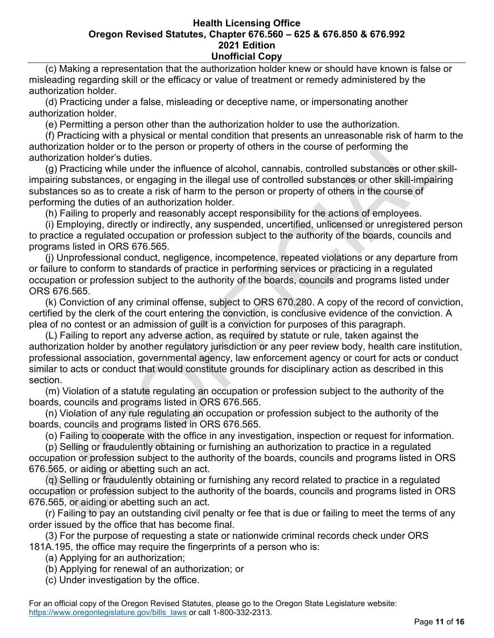(c) Making a representation that the authorization holder knew or should have known is false or misleading regarding skill or the efficacy or value of treatment or remedy administered by the authorization holder.

 (d) Practicing under a false, misleading or deceptive name, or impersonating another authorization holder.

(e) Permitting a person other than the authorization holder to use the authorization.

 (f) Practicing with a physical or mental condition that presents an unreasonable risk of harm to the authorization holder or to the person or property of others in the course of performing the authorization holder's duties.

 (g) Practicing while under the influence of alcohol, cannabis, controlled substances or other skillimpairing substances, or engaging in the illegal use of controlled substances or other skill-impairing substances so as to create a risk of harm to the person or property of others in the course of performing the duties of an authorization holder.

(h) Failing to properly and reasonably accept responsibility for the actions of employees.

 (i) Employing, directly or indirectly, any suspended, uncertified, unlicensed or unregistered person to practice a regulated occupation or profession subject to the authority of the boards, councils and programs listed in ORS 676.565.

 (j) Unprofessional conduct, negligence, incompetence, repeated violations or any departure from or failure to conform to standards of practice in performing services or practicing in a regulated occupation or profession subject to the authority of the boards, councils and programs listed under ORS 676.565.

 (k) Conviction of any criminal offense, subject to ORS 670.280. A copy of the record of conviction, certified by the clerk of the court entering the conviction, is conclusive evidence of the conviction. A plea of no contest or an admission of guilt is a conviction for purposes of this paragraph.

 (L) Failing to report any adverse action, as required by statute or rule, taken against the authorization holder by another regulatory jurisdiction or any peer review body, health care institution, professional association, governmental agency, law enforcement agency or court for acts or conduct similar to acts or conduct that would constitute grounds for disciplinary action as described in this section.

 (m) Violation of a statute regulating an occupation or profession subject to the authority of the boards, councils and programs listed in ORS 676.565.

 (n) Violation of any rule regulating an occupation or profession subject to the authority of the boards, councils and programs listed in ORS 676.565.

(o) Failing to cooperate with the office in any investigation, inspection or request for information.

 (p) Selling or fraudulently obtaining or furnishing an authorization to practice in a regulated occupation or profession subject to the authority of the boards, councils and programs listed in ORS 676.565, or aiding or abetting such an act.

 (q) Selling or fraudulently obtaining or furnishing any record related to practice in a regulated occupation or profession subject to the authority of the boards, councils and programs listed in ORS 676.565, or aiding or abetting such an act.

 (r) Failing to pay an outstanding civil penalty or fee that is due or failing to meet the terms of any order issued by the office that has become final.

 (3) For the purpose of requesting a state or nationwide criminal records check under ORS 181A.195, the office may require the fingerprints of a person who is:

(a) Applying for an authorization;

(b) Applying for renewal of an authorization; or

(c) Under investigation by the office.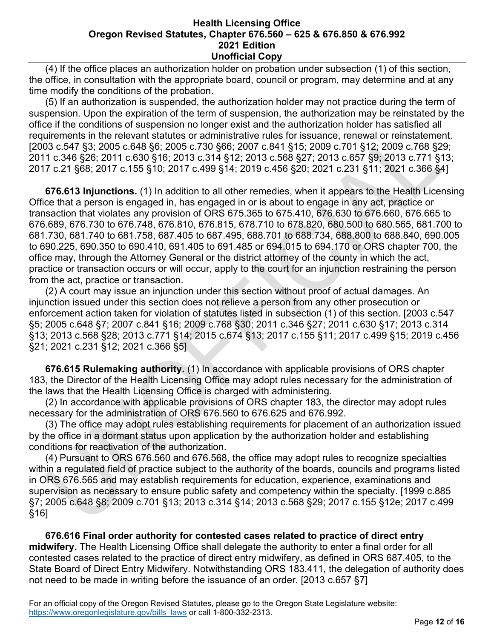(4) If the office places an authorization holder on probation under subsection (1) of this section, the office, in consultation with the appropriate board, council or program, may determine and at any time modify the conditions of the probation.

 (5) If an authorization is suspended, the authorization holder may not practice during the term of suspension. Upon the expiration of the term of suspension, the authorization may be reinstated by the office if the conditions of suspension no longer exist and the authorization holder has satisfied all requirements in the relevant statutes or administrative rules for issuance, renewal or reinstatement. [2003 c.547 §3; 2005 c.648 §6; 2005 c.730 §66; 2007 c.841 §15; 2009 c.701 §12; 2009 c.768 §29; 2011 c.346 §26; 2011 c.630 §16; 2013 c.314 §12; 2013 c.568 §27; 2013 c.657 §9; 2013 c.771 §13; 2017 c.21 §68; 2017 c.155 §10; 2017 c.499 §14; 2019 c.456 §20; 2021 c.231 §11; 2021 c.366 §4]

 **676.613 Injunctions.** (1) In addition to all other remedies, when it appears to the Health Licensing Office that a person is engaged in, has engaged in or is about to engage in any act, practice or transaction that violates any provision of ORS 675.365 to 675.410, 676.630 to 676.660, 676.665 to 676.689, 676.730 to 676.748, 676.810, 676.815, 678.710 to 678.820, 680.500 to 680.565, 681.700 to 681.730, 681.740 to 681.758, 687.405 to 687.495, 688.701 to 688.734, 688.800 to 688.840, 690.005 to 690.225, 690.350 to 690.410, 691.405 to 691.485 or 694.015 to 694.170 or ORS chapter 700, the office may, through the Attorney General or the district attorney of the county in which the act, practice or transaction occurs or will occur, apply to the court for an injunction restraining the person from the act, practice or transaction.

 (2) A court may issue an injunction under this section without proof of actual damages. An injunction issued under this section does not relieve a person from any other prosecution or enforcement action taken for violation of statutes listed in subsection (1) of this section. [2003 c.547 §5; 2005 c.648 §7; 2007 c.841 §16; 2009 c.768 §30; 2011 c.346 §27; 2011 c.630 §17; 2013 c.314 §13; 2013 c.568 §28; 2013 c.771 §14; 2015 c.674 §13; 2017 c.155 §11; 2017 c.499 §15; 2019 c.456 §21; 2021 c.231 §12; 2021 c.366 §5]

 **676.615 Rulemaking authority.** (1) In accordance with applicable provisions of ORS chapter 183, the Director of the Health Licensing Office may adopt rules necessary for the administration of the laws that the Health Licensing Office is charged with administering.

 (2) In accordance with applicable provisions of ORS chapter 183, the director may adopt rules necessary for the administration of ORS 676.560 to 676.625 and 676.992.

 (3) The office may adopt rules establishing requirements for placement of an authorization issued by the office in a dormant status upon application by the authorization holder and establishing conditions for reactivation of the authorization.

 (4) Pursuant to ORS 676.560 and 676.568, the office may adopt rules to recognize specialties within a regulated field of practice subject to the authority of the boards, councils and programs listed in ORS 676.565 and may establish requirements for education, experience, examinations and supervision as necessary to ensure public safety and competency within the specialty. [1999 c.885 §7; 2005 c.648 §8; 2009 c.701 §13; 2013 c.314 §14; 2013 c.568 §29; 2017 c.155 §12e; 2017 c.499 §16]

 **676.616 Final order authority for contested cases related to practice of direct entry midwifery.** The Health Licensing Office shall delegate the authority to enter a final order for all contested cases related to the practice of direct entry midwifery, as defined in ORS 687.405, to the State Board of Direct Entry Midwifery. Notwithstanding ORS 183.411, the delegation of authority does not need to be made in writing before the issuance of an order. [2013 c.657 §7]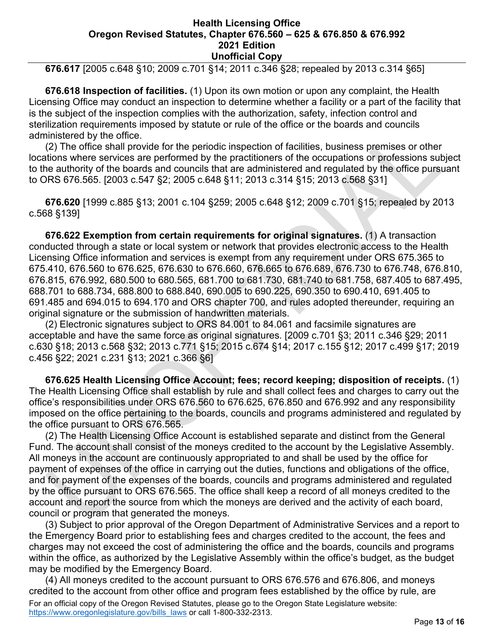**676.617** [2005 c.648 §10; 2009 c.701 §14; 2011 c.346 §28; repealed by 2013 c.314 §65]

 **676.618 Inspection of facilities.** (1) Upon its own motion or upon any complaint, the Health Licensing Office may conduct an inspection to determine whether a facility or a part of the facility that is the subject of the inspection complies with the authorization, safety, infection control and sterilization requirements imposed by statute or rule of the office or the boards and councils administered by the office.

 (2) The office shall provide for the periodic inspection of facilities, business premises or other locations where services are performed by the practitioners of the occupations or professions subject to the authority of the boards and councils that are administered and regulated by the office pursuant to ORS 676.565. [2003 c.547 §2; 2005 c.648 §11; 2013 c.314 §15; 2013 c.568 §31]

 **676.620** [1999 c.885 §13; 2001 c.104 §259; 2005 c.648 §12; 2009 c.701 §15; repealed by 2013 c.568 §139]

 **676.622 Exemption from certain requirements for original signatures.** (1) A transaction conducted through a state or local system or network that provides electronic access to the Health Licensing Office information and services is exempt from any requirement under ORS 675.365 to 675.410, 676.560 to 676.625, 676.630 to 676.660, 676.665 to 676.689, 676.730 to 676.748, 676.810, 676.815, 676.992, 680.500 to 680.565, 681.700 to 681.730, 681.740 to 681.758, 687.405 to 687.495, 688.701 to 688.734, 688.800 to 688.840, 690.005 to 690.225, 690.350 to 690.410, 691.405 to 691.485 and 694.015 to 694.170 and ORS chapter 700, and rules adopted thereunder, requiring an original signature or the submission of handwritten materials.

 (2) Electronic signatures subject to ORS 84.001 to 84.061 and facsimile signatures are acceptable and have the same force as original signatures. [2009 c.701 §3; 2011 c.346 §29; 2011 c.630 §18; 2013 c.568 §32; 2013 c.771 §15; 2015 c.674 §14; 2017 c.155 §12; 2017 c.499 §17; 2019 c.456 §22; 2021 c.231 §13; 2021 c.366 §6]

 **676.625 Health Licensing Office Account; fees; record keeping; disposition of receipts.** (1) The Health Licensing Office shall establish by rule and shall collect fees and charges to carry out the office's responsibilities under ORS 676.560 to 676.625, 676.850 and 676.992 and any responsibility imposed on the office pertaining to the boards, councils and programs administered and regulated by the office pursuant to ORS 676.565.

 (2) The Health Licensing Office Account is established separate and distinct from the General Fund. The account shall consist of the moneys credited to the account by the Legislative Assembly. All moneys in the account are continuously appropriated to and shall be used by the office for payment of expenses of the office in carrying out the duties, functions and obligations of the office, and for payment of the expenses of the boards, councils and programs administered and regulated by the office pursuant to ORS 676.565. The office shall keep a record of all moneys credited to the account and report the source from which the moneys are derived and the activity of each board, council or program that generated the moneys.

 (3) Subject to prior approval of the Oregon Department of Administrative Services and a report to the Emergency Board prior to establishing fees and charges credited to the account, the fees and charges may not exceed the cost of administering the office and the boards, councils and programs within the office, as authorized by the Legislative Assembly within the office's budget, as the budget may be modified by the Emergency Board.

For an official copy of the Oregon Revised Statutes, please go to the Oregon State Legislature website: [https://www.oregonlegislature.gov/bills\\_laws](https://www.oregonlegislature.gov/bills_laws) or call 1-800-332-2313. (4) All moneys credited to the account pursuant to ORS 676.576 and 676.806, and moneys credited to the account from other office and program fees established by the office by rule, are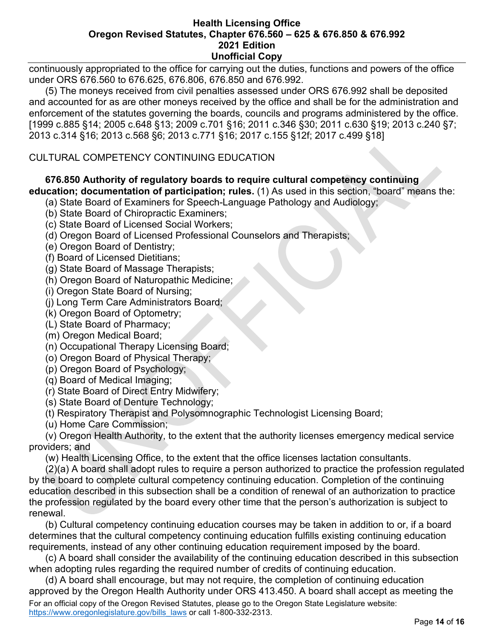continuously appropriated to the office for carrying out the duties, functions and powers of the office under ORS 676.560 to 676.625, 676.806, 676.850 and 676.992.

 (5) The moneys received from civil penalties assessed under ORS 676.992 shall be deposited and accounted for as are other moneys received by the office and shall be for the administration and enforcement of the statutes governing the boards, councils and programs administered by the office. [1999 c.885 §14; 2005 c.648 §13; 2009 c.701 §16; 2011 c.346 §30; 2011 c.630 §19; 2013 c.240 §7; 2013 c.314 §16; 2013 c.568 §6; 2013 c.771 §16; 2017 c.155 §12f; 2017 c.499 §18]

# CULTURAL COMPETENCY CONTINUING EDUCATION

#### **676.850 Authority of regulatory boards to require cultural competency continuing education; documentation of participation; rules.** (1) As used in this section, "board" means the:

- (a) State Board of Examiners for Speech-Language Pathology and Audiology;
- (b) State Board of Chiropractic Examiners;
- (c) State Board of Licensed Social Workers;
- (d) Oregon Board of Licensed Professional Counselors and Therapists;
- (e) Oregon Board of Dentistry;
- (f) Board of Licensed Dietitians;
- (g) State Board of Massage Therapists;
- (h) Oregon Board of Naturopathic Medicine;
- (i) Oregon State Board of Nursing;
- (j) Long Term Care Administrators Board;
- (k) Oregon Board of Optometry;
- (L) State Board of Pharmacy;
- (m) Oregon Medical Board;
- (n) Occupational Therapy Licensing Board;
- (o) Oregon Board of Physical Therapy;
- (p) Oregon Board of Psychology;
- (q) Board of Medical Imaging;
- (r) State Board of Direct Entry Midwifery;
- (s) State Board of Denture Technology;
- (t) Respiratory Therapist and Polysomnographic Technologist Licensing Board;
- (u) Home Care Commission;

 (v) Oregon Health Authority, to the extent that the authority licenses emergency medical service providers; and

(w) Health Licensing Office, to the extent that the office licenses lactation consultants.

 (2)(a) A board shall adopt rules to require a person authorized to practice the profession regulated by the board to complete cultural competency continuing education. Completion of the continuing education described in this subsection shall be a condition of renewal of an authorization to practice the profession regulated by the board every other time that the person's authorization is subject to renewal.

 (b) Cultural competency continuing education courses may be taken in addition to or, if a board determines that the cultural competency continuing education fulfills existing continuing education requirements, instead of any other continuing education requirement imposed by the board.

 (c) A board shall consider the availability of the continuing education described in this subsection when adopting rules regarding the required number of credits of continuing education.

For an official copy of the Oregon Revised Statutes, please go to the Oregon State Legislature website: [https://www.oregonlegislature.gov/bills\\_laws](https://www.oregonlegislature.gov/bills_laws) or call 1-800-332-2313. (d) A board shall encourage, but may not require, the completion of continuing education approved by the Oregon Health Authority under ORS 413.450. A board shall accept as meeting the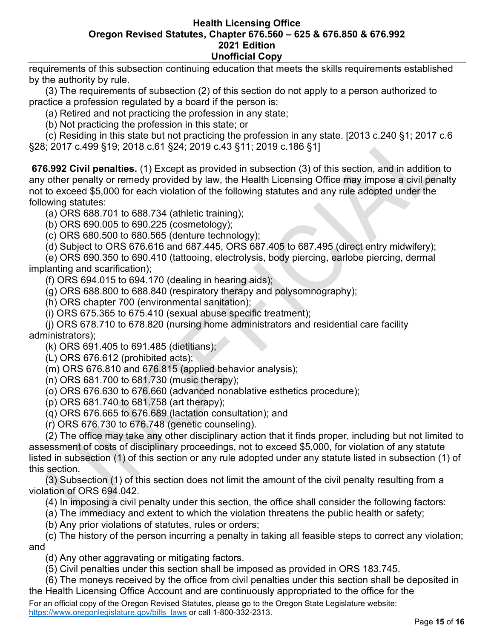requirements of this subsection continuing education that meets the skills requirements established by the authority by rule.

 (3) The requirements of subsection (2) of this section do not apply to a person authorized to practice a profession regulated by a board if the person is:

(a) Retired and not practicing the profession in any state;

(b) Not practicing the profession in this state; or

 (c) Residing in this state but not practicing the profession in any state. [2013 c.240 §1; 2017 c.6 §28; 2017 c.499 §19; 2018 c.61 §24; 2019 c.43 §11; 2019 c.186 §1]

**676.992 Civil penalties.** (1) Except as provided in subsection (3) of this section, and in addition to any other penalty or remedy provided by law, the Health Licensing Office may impose a civil penalty not to exceed \$5,000 for each violation of the following statutes and any rule adopted under the following statutes:

(a) ORS 688.701 to 688.734 (athletic training);

(b) ORS 690.005 to 690.225 (cosmetology);

(c) ORS 680.500 to 680.565 (denture technology);

(d) Subject to ORS 676.616 and 687.445, ORS 687.405 to 687.495 (direct entry midwifery);

 (e) ORS 690.350 to 690.410 (tattooing, electrolysis, body piercing, earlobe piercing, dermal implanting and scarification);

(f) ORS 694.015 to 694.170 (dealing in hearing aids);

(g) ORS 688.800 to 688.840 (respiratory therapy and polysomnography);

(h) ORS chapter 700 (environmental sanitation);

(i) ORS 675.365 to 675.410 (sexual abuse specific treatment);

 (j) ORS 678.710 to 678.820 (nursing home administrators and residential care facility administrators);

(k) ORS 691.405 to 691.485 (dietitians);

(L) ORS 676.612 (prohibited acts);

(m) ORS 676.810 and 676.815 (applied behavior analysis);

(n) ORS 681.700 to 681.730 (music therapy);

(o) ORS 676.630 to 676.660 (advanced nonablative esthetics procedure);

(p) ORS 681.740 to 681.758 (art therapy);

(q) ORS 676.665 to 676.689 (lactation consultation); and

(r) ORS 676.730 to 676.748 (genetic counseling).

 (2) The office may take any other disciplinary action that it finds proper, including but not limited to assessment of costs of disciplinary proceedings, not to exceed \$5,000, for violation of any statute listed in subsection (1) of this section or any rule adopted under any statute listed in subsection (1) of this section.

 (3) Subsection (1) of this section does not limit the amount of the civil penalty resulting from a violation of ORS 694.042.

(4) In imposing a civil penalty under this section, the office shall consider the following factors:

(a) The immediacy and extent to which the violation threatens the public health or safety;

(b) Any prior violations of statutes, rules or orders;

 (c) The history of the person incurring a penalty in taking all feasible steps to correct any violation; and

(d) Any other aggravating or mitigating factors.

(5) Civil penalties under this section shall be imposed as provided in ORS 183.745.

 (6) The moneys received by the office from civil penalties under this section shall be deposited in the Health Licensing Office Account and are continuously appropriated to the office for the